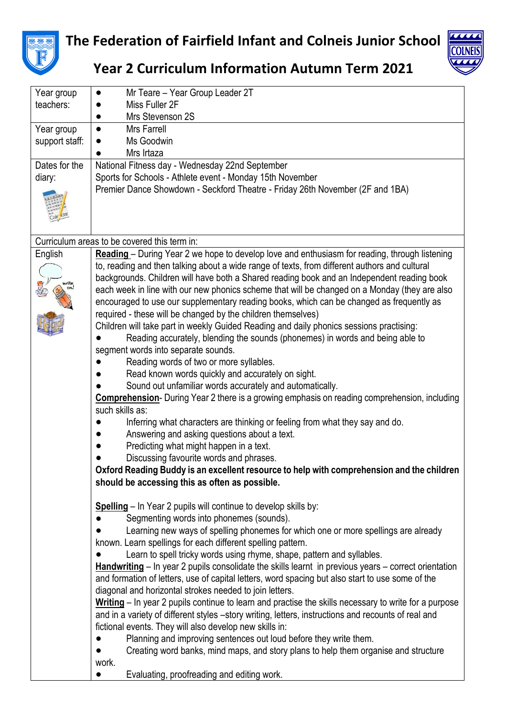

## **The Federation of Fairfield Infant and Colneis Junior School**



## **Year 2 Curriculum Information Autumn Term 2021**

| Year group                                   | Mr Teare - Year Group Leader 2T<br>$\bullet$                                                          |  |  |
|----------------------------------------------|-------------------------------------------------------------------------------------------------------|--|--|
| teachers:                                    | Miss Fuller 2F                                                                                        |  |  |
|                                              | Mrs Stevenson 2S                                                                                      |  |  |
| Year group                                   | Mrs Farrell<br>$\bullet$                                                                              |  |  |
| support staff:                               | Ms Goodwin                                                                                            |  |  |
|                                              | Mrs Irtaza                                                                                            |  |  |
| Dates for the                                | National Fitness day - Wednesday 22nd September                                                       |  |  |
| diary:                                       | Sports for Schools - Athlete event - Monday 15th November                                             |  |  |
|                                              | Premier Dance Showdown - Seckford Theatre - Friday 26th November (2F and 1BA)                         |  |  |
|                                              |                                                                                                       |  |  |
|                                              |                                                                                                       |  |  |
|                                              |                                                                                                       |  |  |
| Curriculum areas to be covered this term in: |                                                                                                       |  |  |
| English                                      | Reading - During Year 2 we hope to develop love and enthusiasm for reading, through listening         |  |  |
|                                              | to, reading and then talking about a wide range of texts, from different authors and cultural         |  |  |
|                                              | backgrounds. Children will have both a Shared reading book and an Independent reading book            |  |  |
|                                              | each week in line with our new phonics scheme that will be changed on a Monday (they are also         |  |  |
|                                              | encouraged to use our supplementary reading books, which can be changed as frequently as              |  |  |
|                                              | required - these will be changed by the children themselves)                                          |  |  |
|                                              | Children will take part in weekly Guided Reading and daily phonics sessions practising:               |  |  |
|                                              | Reading accurately, blending the sounds (phonemes) in words and being able to                         |  |  |
|                                              | segment words into separate sounds.                                                                   |  |  |
|                                              | Reading words of two or more syllables.                                                               |  |  |
|                                              | Read known words quickly and accurately on sight.                                                     |  |  |
|                                              | Sound out unfamiliar words accurately and automatically.                                              |  |  |
|                                              | <b>Comprehension</b> - During Year 2 there is a growing emphasis on reading comprehension, including  |  |  |
|                                              | such skills as:                                                                                       |  |  |
|                                              | Inferring what characters are thinking or feeling from what they say and do.                          |  |  |
|                                              | Answering and asking questions about a text.                                                          |  |  |
|                                              | Predicting what might happen in a text.                                                               |  |  |
|                                              | Discussing favourite words and phrases.                                                               |  |  |
|                                              | Oxford Reading Buddy is an excellent resource to help with comprehension and the children             |  |  |
|                                              | should be accessing this as often as possible.                                                        |  |  |
|                                              |                                                                                                       |  |  |
|                                              | <b>Spelling</b> – In Year 2 pupils will continue to develop skills by:                                |  |  |
|                                              | Segmenting words into phonemes (sounds).                                                              |  |  |
|                                              | Learning new ways of spelling phonemes for which one or more spellings are already                    |  |  |
|                                              | known. Learn spellings for each different spelling pattern.                                           |  |  |
|                                              | Learn to spell tricky words using rhyme, shape, pattern and syllables.                                |  |  |
|                                              | Handwriting – In year 2 pupils consolidate the skills learnt in previous years – correct orientation  |  |  |
|                                              | and formation of letters, use of capital letters, word spacing but also start to use some of the      |  |  |
|                                              | diagonal and horizontal strokes needed to join letters.                                               |  |  |
|                                              | Writing – In year 2 pupils continue to learn and practise the skills necessary to write for a purpose |  |  |
|                                              | and in a variety of different styles -story writing, letters, instructions and recounts of real and   |  |  |
|                                              | fictional events. They will also develop new skills in:                                               |  |  |
|                                              | Planning and improving sentences out loud before they write them.                                     |  |  |
|                                              | Creating word banks, mind maps, and story plans to help them organise and structure                   |  |  |
|                                              | work.                                                                                                 |  |  |
|                                              | Evaluating, proofreading and editing work.                                                            |  |  |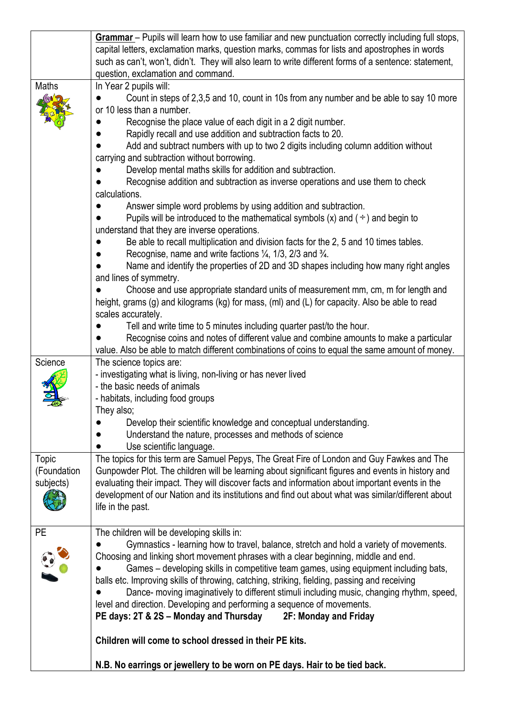|             | Grammar – Pupils will learn how to use familiar and new punctuation correctly including full stops,   |
|-------------|-------------------------------------------------------------------------------------------------------|
|             | capital letters, exclamation marks, question marks, commas for lists and apostrophes in words         |
|             | such as can't, won't, didn't. They will also learn to write different forms of a sentence: statement, |
|             | question, exclamation and command.                                                                    |
| Maths       | In Year 2 pupils will:                                                                                |
|             | Count in steps of 2,3,5 and 10, count in 10s from any number and be able to say 10 more               |
|             | or 10 less than a number.                                                                             |
|             | Recognise the place value of each digit in a 2 digit number.                                          |
|             |                                                                                                       |
|             | Rapidly recall and use addition and subtraction facts to 20.                                          |
|             | Add and subtract numbers with up to two 2 digits including column addition without                    |
|             | carrying and subtraction without borrowing.                                                           |
|             | Develop mental maths skills for addition and subtraction.                                             |
|             | Recognise addition and subtraction as inverse operations and use them to check                        |
|             | calculations.                                                                                         |
|             | Answer simple word problems by using addition and subtraction.                                        |
|             | Pupils will be introduced to the mathematical symbols (x) and $($ $\div$ $)$ and begin to             |
|             | understand that they are inverse operations.                                                          |
|             | Be able to recall multiplication and division facts for the 2, 5 and 10 times tables.                 |
|             | Recognise, name and write factions $\frac{1}{4}$ , 1/3, 2/3 and $\frac{3}{4}$ .                       |
|             | Name and identify the properties of 2D and 3D shapes including how many right angles                  |
|             | and lines of symmetry.                                                                                |
|             | Choose and use appropriate standard units of measurement mm, cm, m for length and                     |
|             | height, grams (g) and kilograms (kg) for mass, (ml) and (L) for capacity. Also be able to read        |
|             | scales accurately.                                                                                    |
|             | Tell and write time to 5 minutes including quarter past/to the hour.                                  |
|             | Recognise coins and notes of different value and combine amounts to make a particular                 |
|             |                                                                                                       |
| Science     | value. Also be able to match different combinations of coins to equal the same amount of money.       |
|             | The science topics are:                                                                               |
|             | - investigating what is living, non-living or has never lived                                         |
|             | - the basic needs of animals                                                                          |
|             | - habitats, including food groups                                                                     |
|             | They also:                                                                                            |
|             | Develop their scientific knowledge and conceptual understanding.                                      |
|             | Understand the nature, processes and methods of science                                               |
|             | Use scientific language.                                                                              |
| Topic       | The topics for this term are Samuel Pepys, The Great Fire of London and Guy Fawkes and The            |
| (Foundation | Gunpowder Plot. The children will be learning about significant figures and events in history and     |
| subjects)   | evaluating their impact. They will discover facts and information about important events in the       |
|             | development of our Nation and its institutions and find out about what was similar/different about    |
|             | life in the past.                                                                                     |
|             |                                                                                                       |
| <b>PE</b>   | The children will be developing skills in:                                                            |
|             | Gymnastics - learning how to travel, balance, stretch and hold a variety of movements.                |
|             |                                                                                                       |
|             | Choosing and linking short movement phrases with a clear beginning, middle and end.                   |
|             | Games – developing skills in competitive team games, using equipment including bats,                  |
|             | balls etc. Improving skills of throwing, catching, striking, fielding, passing and receiving          |
|             | Dance- moving imaginatively to different stimuli including music, changing rhythm, speed,             |
|             | level and direction. Developing and performing a sequence of movements.                               |
|             | PE days: 2T & 2S – Monday and Thursday<br>2F: Monday and Friday                                       |
|             |                                                                                                       |
|             | Children will come to school dressed in their PE kits.                                                |
|             | N.B. No earrings or jewellery to be worn on PE days. Hair to be tied back.                            |